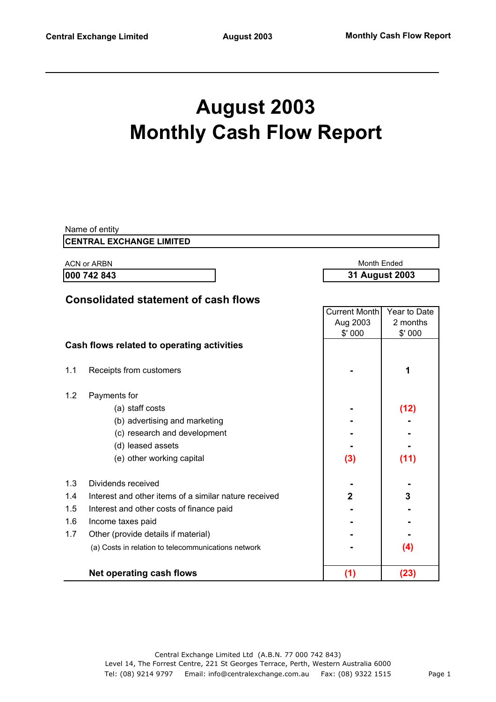# **August 2003 Monthly Cash Flow Report**

|     | Name of entity                                        |                      |                |
|-----|-------------------------------------------------------|----------------------|----------------|
|     | <b>CENTRAL EXCHANGE LIMITED</b>                       |                      |                |
|     | <b>ACN or ARBN</b>                                    | <b>Month Ended</b>   |                |
|     | 000 742 843                                           |                      | 31 August 2003 |
|     |                                                       |                      |                |
|     | <b>Consolidated statement of cash flows</b>           | <b>Current Month</b> | Year to Date   |
|     |                                                       | Aug 2003             | 2 months       |
|     |                                                       | \$'000               | \$' 000        |
|     | Cash flows related to operating activities            |                      |                |
|     |                                                       |                      |                |
| 1.1 | Receipts from customers                               |                      | 1              |
|     |                                                       |                      |                |
| 1.2 | Payments for                                          |                      |                |
|     | (a) staff costs                                       |                      | (12)           |
|     | (b) advertising and marketing                         |                      |                |
|     | (c) research and development                          |                      |                |
|     | (d) leased assets                                     |                      |                |
|     | (e) other working capital                             | (3)                  | (11)           |
| 1.3 | Dividends received                                    |                      |                |
| 1.4 | Interest and other items of a similar nature received | $\overline{2}$       | 3              |
| 1.5 | Interest and other costs of finance paid              |                      |                |
| 1.6 | Income taxes paid                                     |                      |                |
| 1.7 | Other (provide details if material)                   |                      |                |
|     | (a) Costs in relation to telecommunications network   |                      | (4)            |
|     | <b>Net operating cash flows</b>                       | (1)                  | (23)           |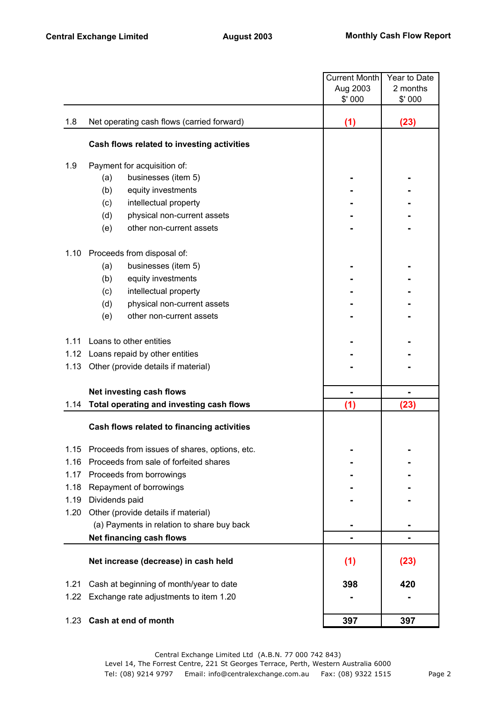|      |                                               | Current Month | Year to Date |
|------|-----------------------------------------------|---------------|--------------|
|      |                                               | Aug 2003      | 2 months     |
|      |                                               | \$' 000       | \$' 000      |
| 1.8  | Net operating cash flows (carried forward)    | (1)           | (23)         |
|      | Cash flows related to investing activities    |               |              |
| 1.9  | Payment for acquisition of:                   |               |              |
|      | (a)<br>businesses (item 5)                    |               |              |
|      | (b)<br>equity investments                     |               |              |
|      | (c)<br>intellectual property                  |               |              |
|      | (d)<br>physical non-current assets            |               |              |
|      | other non-current assets<br>(e)               |               |              |
| 1.10 | Proceeds from disposal of:                    |               |              |
|      | businesses (item 5)<br>(a)                    |               |              |
|      | (b)<br>equity investments                     |               |              |
|      | intellectual property<br>(c)                  |               |              |
|      | (d)<br>physical non-current assets            |               |              |
|      | (e)<br>other non-current assets               |               |              |
| 1.11 | Loans to other entities                       |               |              |
|      | 1.12 Loans repaid by other entities           |               |              |
| 1.13 | Other (provide details if material)           |               |              |
|      | Net investing cash flows                      |               |              |
| 1.14 | Total operating and investing cash flows      | (1)           | (23)         |
|      | Cash flows related to financing activities    |               |              |
| 1.15 | Proceeds from issues of shares, options, etc. |               |              |
| 1.16 | Proceeds from sale of forfeited shares        |               |              |
| 1.17 | Proceeds from borrowings                      |               |              |
| 1.18 | Repayment of borrowings                       |               |              |
| 1.19 | Dividends paid                                |               |              |
| 1.20 | Other (provide details if material)           |               |              |
|      | (a) Payments in relation to share buy back    |               |              |
|      | Net financing cash flows                      |               |              |
|      | Net increase (decrease) in cash held          | (1)           | (23)         |
| 1.21 | Cash at beginning of month/year to date       | 398           | 420          |
| 1.22 | Exchange rate adjustments to item 1.20        |               |              |
| 1.23 | Cash at end of month                          | 397           | 397          |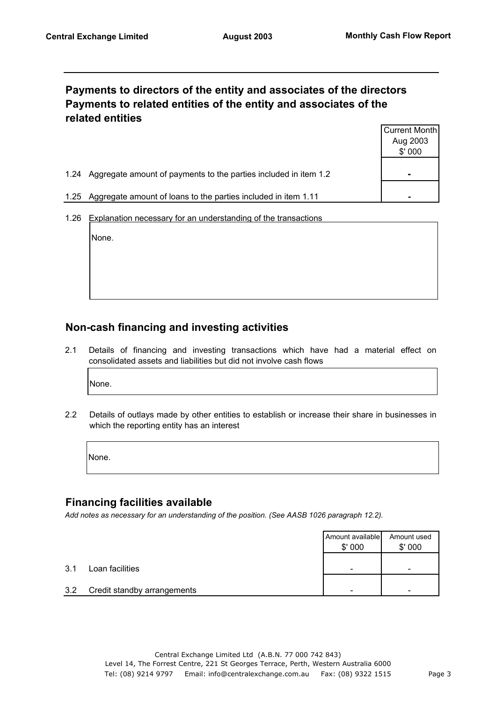#### **Payments to directors of the entity and associates of the directors Payments to related entities of the entity and associates of the related entities**

|                                                                          | Current Month  |
|--------------------------------------------------------------------------|----------------|
|                                                                          | Aug 2003       |
|                                                                          | \$'000         |
|                                                                          |                |
| Aggregate amount of payments to the parties included in item 1.2<br>1.24 | $\blacksquare$ |
|                                                                          |                |
| Aggregate amount of loans to the parties included in item 1.11<br>1.25   |                |

1.26 Explanation necessary for an understanding of the transactions

None.

### **Non-cash financing and investing activities**

2.1 Details of financing and investing transactions which have had a material effect on consolidated assets and liabilities but did not involve cash flows

None.

2.2 Details of outlays made by other entities to establish or increase their share in businesses in which the reporting entity has an interest

None.

#### **Financing facilities available**

*Add notes as necessary for an understanding of the position. (See AASB 1026 paragraph 12.2).*

|     |                             | Amount available<br>\$'000 | Amount used<br>\$'000 |
|-----|-----------------------------|----------------------------|-----------------------|
| 3.1 | Loan facilities             | -                          | -                     |
| 3.2 | Credit standby arrangements |                            | -                     |